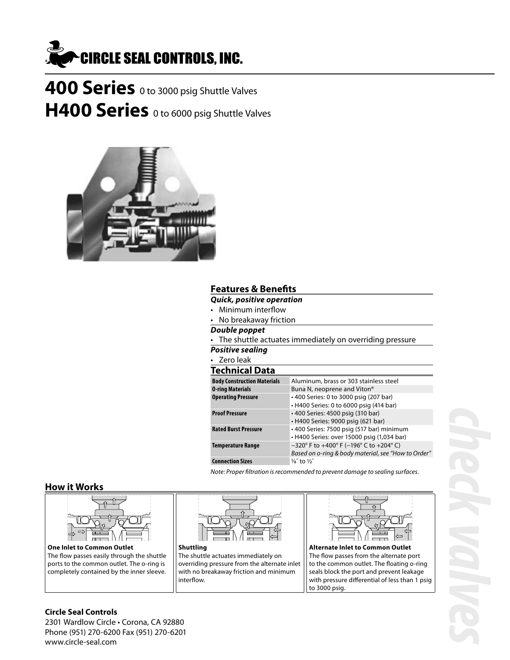

**400 Series** 0 to 3000 psig Shuttle Valves **H400 Series** 0 to 6000 psig Shuttle Valves



## **Features & Benefits**

- **Quick, positive operation**
- Minimum interflow
- No breakaway friction

### **Double poppet**

• The shuttle actuates immediately on overriding pressure

**Positive sealing** • Zero leak

### **Technical Data**

| וכלוווולמו במנמ                    |                                                     |
|------------------------------------|-----------------------------------------------------|
| <b>Body Construction Materials</b> | Aluminum, brass or 303 stainless steel              |
| <b>0-ring Materials</b>            | Buna N, neoprene and Viton <sup>®</sup>             |
| <b>Operating Pressure</b>          | • 400 Series: 0 to 3000 psig (207 bar)              |
|                                    | • H400 Series: 0 to 6000 psig (414 bar)             |
| <b>Proof Pressure</b>              | • 400 Series: 4500 psig (310 bar)                   |
|                                    | • H400 Series: 9000 psig (621 bar)                  |
| <b>Rated Burst Pressure</b>        | • 400 Series: 7500 psig (517 bar) minimum           |
|                                    | • H400 Series: over 15000 psig (1,034 bar)          |
| <b>Temperature Range</b>           | $-320^{\circ}$ F to +400° F (-196° C to +204° C)    |
|                                    | Based on o-ring & body material, see "How to Order" |
| <b>Connection Sizes</b>            | $\frac{1}{8}$ to $\frac{1}{2}$                      |
|                                    |                                                     |

Note: Proper filtration is recommended to prevent damage to sealing surfaces.

### **How it Works**



**One Inlet to Common Outlet** The flow passes easily through the shuttle ports to the common outlet. The o-ring is completely contained by the inner sleeve.



**Shuttling** The shuttle actuates immediately on overriding pressure from the alternate inlet with no breakaway friction and minimum interflow.



**Alternate Inlet to Common Outlet** The flow passes from the alternate port to the common outlet. The floating o-ring seals block the port and prevent leakage with pressure differential of less than 1 psig to 3000 psig.

### **Circle Seal Controls**

2301 Wardlow Circle • Corona, CA 92880 Phone (951) 270-6200 Fax (951) 270-6201 www.circle-seal.com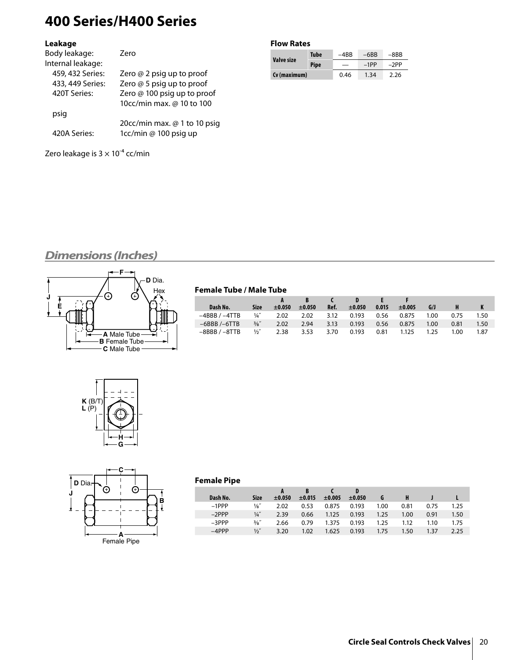# **400 Series/H400 Series**

### **Leakage**

| Body leakage:     | 7ero                         |
|-------------------|------------------------------|
| Internal leakage: |                              |
| 459, 432 Series:  | Zero $@$ 2 psig up to proof  |
| 433, 449 Series:  | Zero @ 5 psig up to proof    |
| 420T Series:      | Zero @ 100 psig up to proof  |
|                   | 10cc/min max. @ 10 to 100    |
| psig              |                              |
|                   | 20cc/min max. @ 1 to 10 psig |
| 420A Series:      | 1cc/min @ 100 psig up        |
|                   |                              |

Zero leakage is  $3 \times 10^{-4}$  cc/min

### **Flow Rates**

|              | <b>Tube</b> | $-4BB$ | $-6BB$ | $-8BB$ |  |
|--------------|-------------|--------|--------|--------|--|
| Valve size   | <b>Pipe</b> |        | $-1PP$ | $-2PP$ |  |
| (v (maximum) |             | 0.46   | 1.34   | 2.26   |  |

## **Dimensions (Inches)**



### **Female Tube / Male Tube**

| Dash No.        | <b>Size</b>     | $\pm 0.050$ | ±0.050 | Ref. | ±0.050 | 0.015 | $\pm 0.005$ | G/J               | н.   | K    |
|-----------------|-----------------|-------------|--------|------|--------|-------|-------------|-------------------|------|------|
| $-4BBB / -4TTB$ | $\frac{1}{4}$   | 2.02        | 2.02   | 3.12 | 0.193  | 0.56  | 0.875       | 1.00 <sub>1</sub> | 0.75 | 1.50 |
| $-6BBB$ /-6TTB  | $\frac{3}{8}$ " | 2.02        | 2.94   | 3.13 | 0.193  | 0.56  | 0.875       | 1.00              | 0.81 | 1.50 |
| $-8BBB / -8TTB$ | $\frac{1}{2}$   | 2.38        | 3.53   | 3.70 | 0.193  | 0.81  | 1.125       | 1.25              | 1.00 | 1.87 |





### **Female Pipe**

| Dash No. | <b>Size</b>     | $\pm 0.050$ | ±0.015 | $\pm 0.005$ | $\pm 0.050$ |      |      |      |      |
|----------|-----------------|-------------|--------|-------------|-------------|------|------|------|------|
| $-1$ PPP | $\frac{1}{8}$   | 2.02        | 0.53   | 0.875       | 0.193       | 1.00 | 0.81 | 0.75 | 1.25 |
| $-2$ PPP | $\frac{1}{4}$   | 2.39        | 0.66   | 1.125       | 0.193       | 1.25 | 1.00 | 0.91 | 1.50 |
| $-3$ PPP | $\frac{3}{8}$ " | 2.66        | 0.79   | 1.375       | 0.193       | 1.25 | 1.12 | 1.10 | 1.75 |
| $-4$ PPP | $\frac{1}{2}$   | 3.20        | 1.02   | 1.625       | 0.193       | 1.75 | 1.50 | 1.37 | 2.25 |